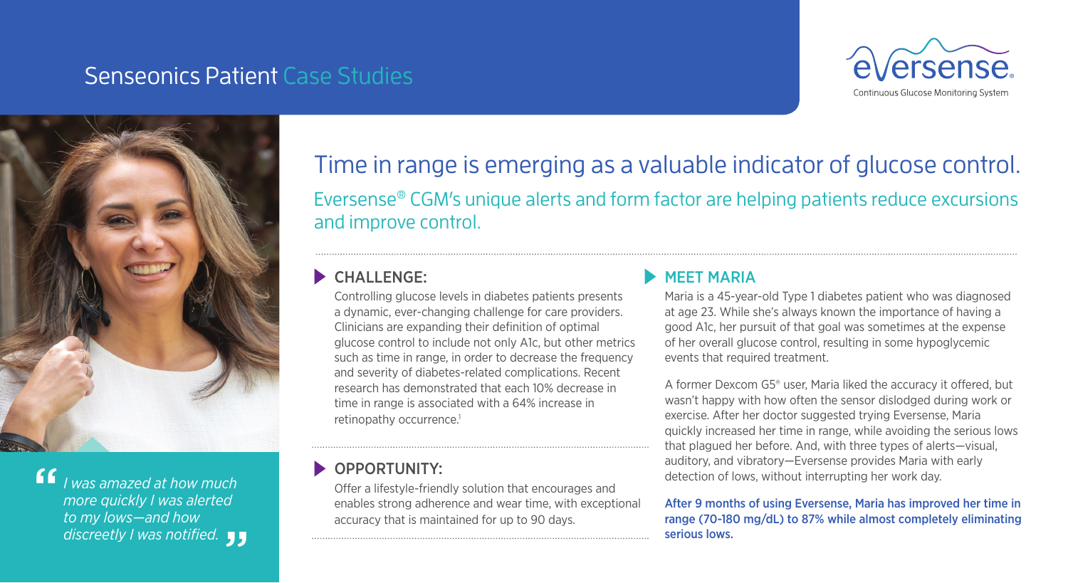# Senseonics Patient Case Studies





*I was amazed at how much more quickly I was alerted to my lows—and how*  discreetly I was notified. **JJ**<br> "<br>"

# Time in range is emerging as a valuable indicator of glucose control. Eversense® CGM's unique alerts and form factor are helping patients reduce excursions and improve control.

### CHALLENGE:

Controlling glucose levels in diabetes patients presents a dynamic, ever-changing challenge for care providers. Clinicians are expanding their definition of optimal glucose control to include not only A1c, but other metrics such as time in range, in order to decrease the frequency and severity of diabetes-related complications. Recent research has demonstrated that each 10% decrease in time in range is associated with a 64% increase in retinopathy occurrence.<sup>1</sup>

### OPPORTUNITY:

Offer a lifestyle-friendly solution that encourages and enables strong adherence and wear time, with exceptional accuracy that is maintained for up to 90 days.

#### MEET MARIA

Maria is a 45-year-old Type 1 diabetes patient who was diagnosed at age 23. While she's always known the importance of having a good A1c, her pursuit of that goal was sometimes at the expense of her overall glucose control, resulting in some hypoglycemic events that required treatment.

A former Dexcom G5® user, Maria liked the accuracy it offered, but wasn't happy with how often the sensor dislodged during work or exercise. After her doctor suggested trying Eversense, Maria quickly increased her time in range, while avoiding the serious lows that plagued her before. And, with three types of alerts—visual, auditory, and vibratory—Eversense provides Maria with early detection of lows, without interrupting her work day.

#### After 9 months of using Eversense, Maria has improved her time in range (70-180 mg/dL) to 87% while almost completely eliminating serious lows.